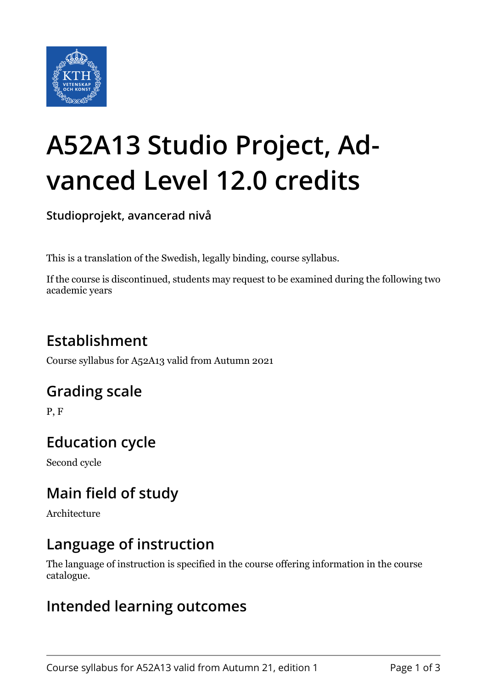

# **A52A13 Studio Project, Advanced Level 12.0 credits**

**Studioprojekt, avancerad nivå**

This is a translation of the Swedish, legally binding, course syllabus.

If the course is discontinued, students may request to be examined during the following two academic years

### **Establishment**

Course syllabus for A52A13 valid from Autumn 2021

#### **Grading scale**

P, F

#### **Education cycle**

Second cycle

#### **Main field of study**

Architecture

#### **Language of instruction**

The language of instruction is specified in the course offering information in the course catalogue.

#### **Intended learning outcomes**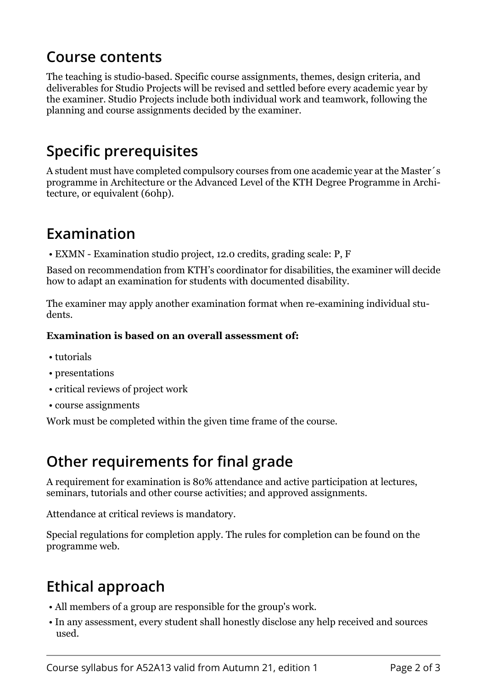#### **Course contents**

The teaching is studio-based. Specific course assignments, themes, design criteria, and deliverables for Studio Projects will be revised and settled before every academic year by the examiner. Studio Projects include both individual work and teamwork, following the planning and course assignments decided by the examiner.

#### **Specific prerequisites**

A student must have completed compulsory courses from one academic year at the Master´s programme in Architecture or the Advanced Level of the KTH Degree Programme in Architecture, or equivalent (60hp).

#### **Examination**

• EXMN - Examination studio project, 12.0 credits, grading scale: P, F

Based on recommendation from KTH's coordinator for disabilities, the examiner will decide how to adapt an examination for students with documented disability.

The examiner may apply another examination format when re-examining individual students.

#### **Examination is based on an overall assessment of:**

- tutorials
- presentations
- critical reviews of project work
- course assignments

Work must be completed within the given time frame of the course.

#### **Other requirements for final grade**

A requirement for examination is 80% attendance and active participation at lectures, seminars, tutorials and other course activities; and approved assignments.

Attendance at critical reviews is mandatory.

Special regulations for completion apply. The rules for completion can be found on the programme web.

## **Ethical approach**

- All members of a group are responsible for the group's work.
- In any assessment, every student shall honestly disclose any help received and sources used.